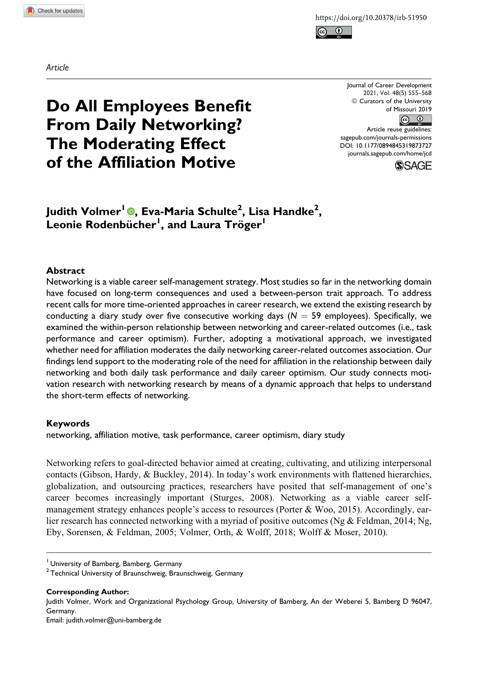

*Article*

Journal of Career Development 2021, Vol. 48(5) 555–568  $@$  Curators of the University of Missouri 2019  $\circ$   $\circ$ 

Article reuse guidelines: sagepub.com/journals-permissions DOI: 10.1177/0894845319873727 journals.sagepub.com/home/jcd



# Do All Employees Benefit From Daily Networking? The Moderating Effect of the Affiliation Motive

Judith Volmer<sup>l</sup> ®, Eva-Maria Schulte<sup>2</sup>, Lisa Handke<sup>2</sup>, Leonie Rodenbücher<sup>I</sup>, and Laura Tröger<sup>I</sup>

#### Abstract

Networking is a viable career self-management strategy. Most studies so far in the networking domain have focused on long-term consequences and used a between-person trait approach. To address recent calls for more time-oriented approaches in career research, we extend the existing research by conducting a diary study over five consecutive working days ( $N = 59$  employees). Specifically, we examined the within-person relationship between networking and career-related outcomes (i.e., task performance and career optimism). Further, adopting a motivational approach, we investigated whether need for affiliation moderates the daily networking career-related outcomes association. Our findings lend support to the moderating role of the need for affiliation in the relationship between daily networking and both daily task performance and daily career optimism. Our study connects motivation research with networking research by means of a dynamic approach that helps to understand the short-term effects of networking.

### Keywords

networking, affiliation motive, task performance, career optimism, diary study

Networking refers to goal-directed behavior aimed at creating, cultivating, and utilizing interpersonal contacts (Gibson, Hardy, & Buckley, 2014). In today's work environments with flattened hierarchies, globalization, and outsourcing practices, researchers have posited that self-management of one's career becomes increasingly important (Sturges, 2008). Networking as a viable career selfmanagement strategy enhances people's access to resources (Porter & Woo, 2015). Accordingly, earlier research has connected networking with a myriad of positive outcomes (Ng & Feldman, 2014; Ng, Eby, Sorensen, & Feldman, 2005; Volmer, Orth, & Wolff, 2018; Wolff & Moser, 2010).

Corresponding Author:

Judith Volmer, Work and Organizational Psychology Group, University of Bamberg, An der Weberei 5, Bamberg D 96047, Germany.

Email: judith.volmer@uni-bamberg.de

<sup>&</sup>lt;sup>1</sup> University of Bamberg, Bamberg, Germany

 $2$  Technical University of Braunschweig, Braunschweig, Germany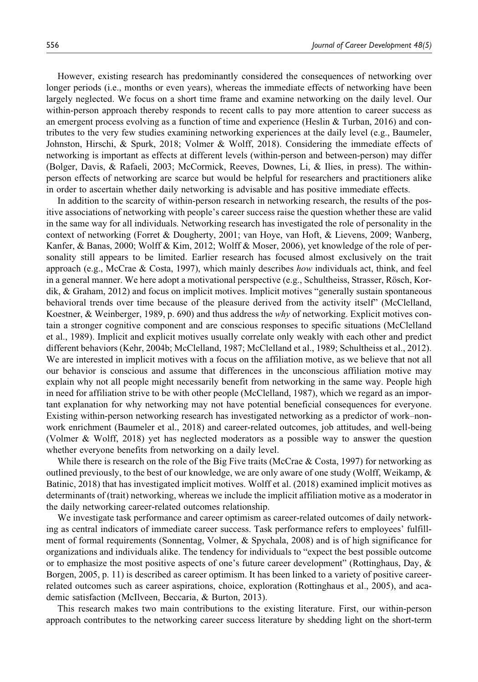However, existing research has predominantly considered the consequences of networking over longer periods (i.e., months or even years), whereas the immediate effects of networking have been largely neglected. We focus on a short time frame and examine networking on the daily level. Our within-person approach thereby responds to recent calls to pay more attention to career success as an emergent process evolving as a function of time and experience (Heslin & Turban, 2016) and contributes to the very few studies examining networking experiences at the daily level (e.g., Baumeler, Johnston, Hirschi, & Spurk, 2018; Volmer & Wolff, 2018). Considering the immediate effects of networking is important as effects at different levels (within-person and between-person) may differ (Bolger, Davis, & Rafaeli, 2003; McCormick, Reeves, Downes, Li, & Ilies, in press). The withinperson effects of networking are scarce but would be helpful for researchers and practitioners alike in order to ascertain whether daily networking is advisable and has positive immediate effects.

In addition to the scarcity of within-person research in networking research, the results of the positive associations of networking with people's career success raise the question whether these are valid in the same way for all individuals. Networking research has investigated the role of personality in the context of networking (Forret & Dougherty, 2001; van Hoye, van Hoft, & Lievens, 2009; Wanberg, Kanfer, & Banas, 2000; Wolff & Kim, 2012; Wolff & Moser, 2006), yet knowledge of the role of personality still appears to be limited. Earlier research has focused almost exclusively on the trait approach (e.g., McCrae  $& Costa$ , 1997), which mainly describes how individuals act, think, and feel in a general manner. We here adopt a motivational perspective (e.g., Schultheiss, Strasser, Rösch, Kordik, & Graham, 2012) and focus on implicit motives. Implicit motives "generally sustain spontaneous behavioral trends over time because of the pleasure derived from the activity itself" (McClelland, Koestner, & Weinberger, 1989, p. 690) and thus address the *why* of networking. Explicit motives contain a stronger cognitive component and are conscious responses to specific situations (McClelland et al., 1989). Implicit and explicit motives usually correlate only weakly with each other and predict different behaviors (Kehr, 2004b; McClelland, 1987; McClelland et al., 1989; Schultheiss et al., 2012). We are interested in implicit motives with a focus on the affiliation motive, as we believe that not all our behavior is conscious and assume that differences in the unconscious affiliation motive may explain why not all people might necessarily benefit from networking in the same way. People high in need for affiliation strive to be with other people (McClelland, 1987), which we regard as an important explanation for why networking may not have potential beneficial consequences for everyone. Existing within-person networking research has investigated networking as a predictor of work–nonwork enrichment (Baumeler et al., 2018) and career-related outcomes, job attitudes, and well-being (Volmer & Wolff, 2018) yet has neglected moderators as a possible way to answer the question whether everyone benefits from networking on a daily level.

While there is research on the role of the Big Five traits (McCrae & Costa, 1997) for networking as outlined previously, to the best of our knowledge, we are only aware of one study (Wolff, Weikamp,  $\&$ Batinic, 2018) that has investigated implicit motives. Wolff et al. (2018) examined implicit motives as determinants of (trait) networking, whereas we include the implicit affiliation motive as a moderator in the daily networking career-related outcomes relationship.

We investigate task performance and career optimism as career-related outcomes of daily networking as central indicators of immediate career success. Task performance refers to employees' fulfillment of formal requirements (Sonnentag, Volmer, & Spychala, 2008) and is of high significance for organizations and individuals alike. The tendency for individuals to "expect the best possible outcome or to emphasize the most positive aspects of one's future career development" (Rottinghaus, Day,  $\&$ Borgen, 2005, p. 11) is described as career optimism. It has been linked to a variety of positive careerrelated outcomes such as career aspirations, choice, exploration (Rottinghaus et al., 2005), and academic satisfaction (McIlveen, Beccaria, & Burton, 2013).

This research makes two main contributions to the existing literature. First, our within-person approach contributes to the networking career success literature by shedding light on the short-term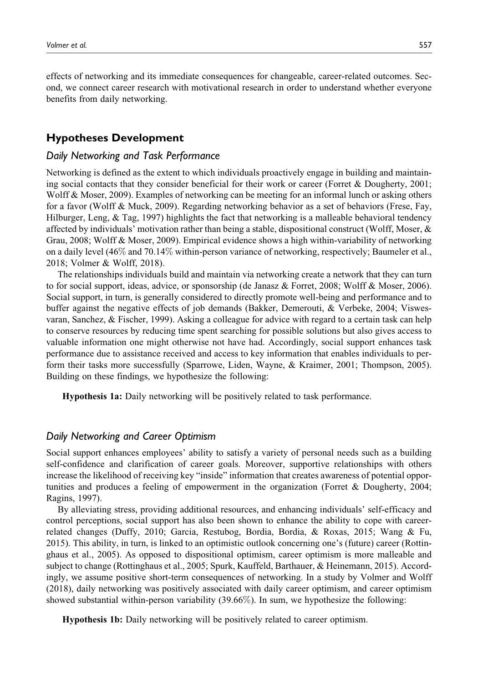effects of networking and its immediate consequences for changeable, career-related outcomes. Second, we connect career research with motivational research in order to understand whether everyone benefits from daily networking.

# Hypotheses Development

# Daily Networking and Task Performance

Networking is defined as the extent to which individuals proactively engage in building and maintaining social contacts that they consider beneficial for their work or career (Forret & Dougherty, 2001; Wolff & Moser, 2009). Examples of networking can be meeting for an informal lunch or asking others for a favor (Wolff & Muck, 2009). Regarding networking behavior as a set of behaviors (Frese, Fay, Hilburger, Leng, & Tag, 1997) highlights the fact that networking is a malleable behavioral tendency affected by individuals' motivation rather than being a stable, dispositional construct (Wolff, Moser,  $\&$ Grau, 2008; Wolff & Moser, 2009). Empirical evidence shows a high within-variability of networking on a daily level (46% and 70.14% within-person variance of networking, respectively; Baumeler et al., 2018; Volmer & Wolff, 2018).

The relationships individuals build and maintain via networking create a network that they can turn to for social support, ideas, advice, or sponsorship (de Janasz & Forret, 2008; Wolff & Moser, 2006). Social support, in turn, is generally considered to directly promote well-being and performance and to buffer against the negative effects of job demands (Bakker, Demerouti, & Verbeke, 2004; Viswesvaran, Sanchez, & Fischer, 1999). Asking a colleague for advice with regard to a certain task can help to conserve resources by reducing time spent searching for possible solutions but also gives access to valuable information one might otherwise not have had. Accordingly, social support enhances task performance due to assistance received and access to key information that enables individuals to perform their tasks more successfully (Sparrowe, Liden, Wayne, & Kraimer, 2001; Thompson, 2005). Building on these findings, we hypothesize the following:

Hypothesis 1a: Daily networking will be positively related to task performance.

# Daily Networking and Career Optimism

Social support enhances employees' ability to satisfy a variety of personal needs such as a building self-confidence and clarification of career goals. Moreover, supportive relationships with others increase the likelihood of receiving key "inside" information that creates awareness of potential opportunities and produces a feeling of empowerment in the organization (Forret & Dougherty, 2004; Ragins, 1997).

By alleviating stress, providing additional resources, and enhancing individuals' self-efficacy and control perceptions, social support has also been shown to enhance the ability to cope with careerrelated changes (Duffy, 2010; Garcia, Restubog, Bordia, Bordia, & Roxas, 2015; Wang & Fu, 2015). This ability, in turn, is linked to an optimistic outlook concerning one's (future) career (Rottinghaus et al., 2005). As opposed to dispositional optimism, career optimism is more malleable and subject to change (Rottinghaus et al., 2005; Spurk, Kauffeld, Barthauer, & Heinemann, 2015). Accordingly, we assume positive short-term consequences of networking. In a study by Volmer and Wolff (2018), daily networking was positively associated with daily career optimism, and career optimism showed substantial within-person variability (39.66%). In sum, we hypothesize the following:

Hypothesis 1b: Daily networking will be positively related to career optimism.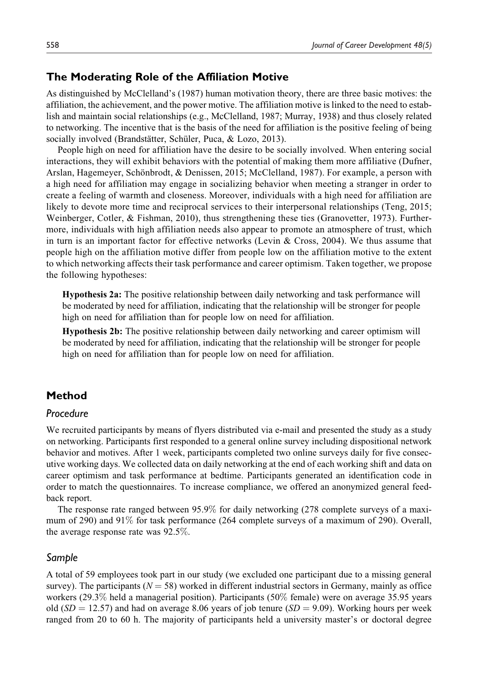## The Moderating Role of the Affiliation Motive

As distinguished by McClelland's (1987) human motivation theory, there are three basic motives: the affiliation, the achievement, and the power motive. The affiliation motive is linked to the need to establish and maintain social relationships (e.g., McClelland, 1987; Murray, 1938) and thus closely related to networking. The incentive that is the basis of the need for affiliation is the positive feeling of being socially involved (Brandstätter, Schüler, Puca, & Lozo, 2013).

People high on need for affiliation have the desire to be socially involved. When entering social interactions, they will exhibit behaviors with the potential of making them more affiliative (Dufner, Arslan, Hagemeyer, Schönbrodt, & Denissen, 2015; McClelland, 1987). For example, a person with a high need for affiliation may engage in socializing behavior when meeting a stranger in order to create a feeling of warmth and closeness. Moreover, individuals with a high need for affiliation are likely to devote more time and reciprocal services to their interpersonal relationships (Teng, 2015; Weinberger, Cotler, & Fishman, 2010), thus strengthening these ties (Granovetter, 1973). Furthermore, individuals with high affiliation needs also appear to promote an atmosphere of trust, which in turn is an important factor for effective networks (Levin & Cross, 2004). We thus assume that people high on the affiliation motive differ from people low on the affiliation motive to the extent to which networking affects their task performance and career optimism. Taken together, we propose the following hypotheses:

Hypothesis 2a: The positive relationship between daily networking and task performance will be moderated by need for affiliation, indicating that the relationship will be stronger for people high on need for affiliation than for people low on need for affiliation.

Hypothesis 2b: The positive relationship between daily networking and career optimism will be moderated by need for affiliation, indicating that the relationship will be stronger for people high on need for affiliation than for people low on need for affiliation.

# Method

# Procedure

We recruited participants by means of flyers distributed via e-mail and presented the study as a study on networking. Participants first responded to a general online survey including dispositional network behavior and motives. After 1 week, participants completed two online surveys daily for five consecutive working days. We collected data on daily networking at the end of each working shift and data on career optimism and task performance at bedtime. Participants generated an identification code in order to match the questionnaires. To increase compliance, we offered an anonymized general feedback report.

The response rate ranged between 95.9% for daily networking (278 complete surveys of a maximum of 290) and 91% for task performance (264 complete surveys of a maximum of 290). Overall, the average response rate was 92.5%.

#### Sample

A total of 59 employees took part in our study (we excluded one participant due to a missing general survey). The participants ( $N = 58$ ) worked in different industrial sectors in Germany, mainly as office workers (29.3% held a managerial position). Participants (50% female) were on average 35.95 years old  $(SD = 12.57)$  and had on average 8.06 years of job tenure  $(SD = 9.09)$ . Working hours per week ranged from 20 to 60 h. The majority of participants held a university master's or doctoral degree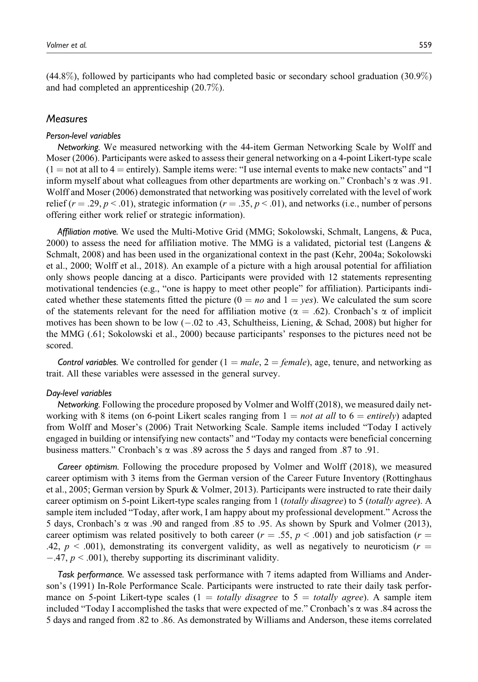$(44.8\%)$ , followed by participants who had completed basic or secondary school graduation  $(30.9\%)$ and had completed an apprenticeship (20.7%).

### **Measures**

#### Person-level variables

Networking. We measured networking with the 44-item German Networking Scale by Wolff and Moser (2006). Participants were asked to assess their general networking on a 4-point Likert-type scale  $(1 = not at all to 4 = entirely)$ . Sample items were: "I use internal events to make new contacts" and "I inform myself about what colleagues from other departments are working on." Cronbach's  $\alpha$  was .91. Wolff and Moser (2006) demonstrated that networking was positively correlated with the level of work relief ( $r = .29$ ,  $p < .01$ ), strategic information ( $r = .35$ ,  $p < .01$ ), and networks (i.e., number of persons offering either work relief or strategic information).

Affiliation motive. We used the Multi-Motive Grid (MMG; Sokolowski, Schmalt, Langens, & Puca, 2000) to assess the need for affiliation motive. The MMG is a validated, pictorial test (Langens  $\&$ Schmalt, 2008) and has been used in the organizational context in the past (Kehr, 2004a; Sokolowski et al., 2000; Wolff et al., 2018). An example of a picture with a high arousal potential for affiliation only shows people dancing at a disco. Participants were provided with 12 statements representing motivational tendencies (e.g., "one is happy to meet other people" for affiliation). Participants indicated whether these statements fitted the picture ( $0 = no$  and  $1 = yes$ ). We calculated the sum score of the statements relevant for the need for affiliation motive ( $\alpha = .62$ ). Cronbach's  $\alpha$  of implicit motives has been shown to be low  $(-.02 \text{ to } .43,$  Schultheiss, Liening, & Schad, 2008) but higher for the MMG (.61; Sokolowski et al., 2000) because participants' responses to the pictures need not be scored.

Control variables. We controlled for gender  $(1 = male, 2 = female)$ , age, tenure, and networking as trait. All these variables were assessed in the general survey.

#### Day-level variables

Networking. Following the procedure proposed by Volmer and Wolff (2018), we measured daily networking with 8 items (on 6-point Likert scales ranging from  $1 = not$  at all to  $6 =$  entirely) adapted from Wolff and Moser's (2006) Trait Networking Scale. Sample items included "Today I actively engaged in building or intensifying new contacts" and "Today my contacts were beneficial concerning business matters." Cronbach's  $\alpha$  was .89 across the 5 days and ranged from .87 to .91.

Career optimism. Following the procedure proposed by Volmer and Wolff (2018), we measured career optimism with 3 items from the German version of the Career Future Inventory (Rottinghaus et al., 2005; German version by Spurk & Volmer, 2013). Participants were instructed to rate their daily career optimism on 5-point Likert-type scales ranging from 1 *(totally disagree)* to 5 *(totally agree)*. A sample item included "Today, after work, I am happy about my professional development." Across the 5 days, Cronbach's  $\alpha$  was .90 and ranged from .85 to .95. As shown by Spurk and Volmer (2013), career optimism was related positively to both career ( $r = .55$ ,  $p < .001$ ) and job satisfaction ( $r =$ .42,  $p \leq .001$ ), demonstrating its convergent validity, as well as negatively to neuroticism ( $r =$  $-47$ ,  $p < .001$ ), thereby supporting its discriminant validity.

Task performance. We assessed task performance with 7 items adapted from Williams and Anderson's (1991) In-Role Performance Scale. Participants were instructed to rate their daily task performance on 5-point Likert-type scales  $(1 = totally\,\,disagree\,\,to\,\,5 = totally\,\,agtree)$ . A sample item included "Today I accomplished the tasks that were expected of me." Cronbach's  $\alpha$  was .84 across the 5 days and ranged from .82 to .86. As demonstrated by Williams and Anderson, these items correlated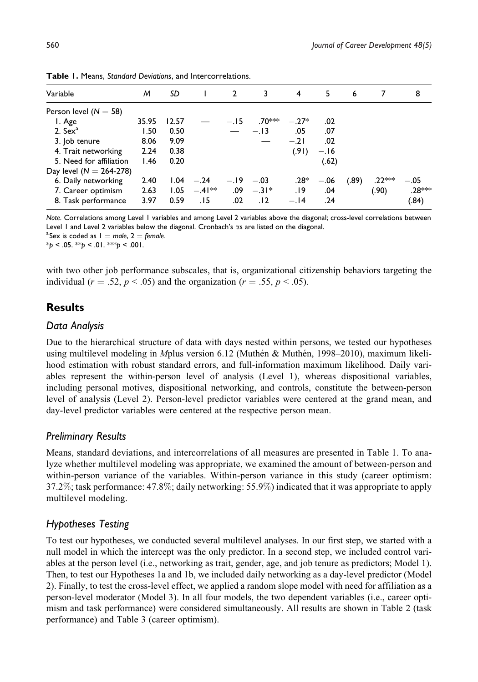| Variable                  | м     | SD    |           | $\mathbf{2}$ | 3          | 4      | 5      | 6     |         | 8                  |
|---------------------------|-------|-------|-----------|--------------|------------|--------|--------|-------|---------|--------------------|
| Person level ( $N = 58$ ) |       |       |           |              |            |        |        |       |         |                    |
| I. Age                    | 35.95 | 12.57 |           | $-.15$       | .70***     | $-27*$ | .02    |       |         |                    |
| $2.$ Sex $^{\rm a}$       | 1.50  | 0.50  |           |              | $-.13$     | .05    | .07    |       |         |                    |
| 3. Job tenure             | 8.06  | 9.09  |           |              |            | $-.21$ | .02    |       |         |                    |
| 4. Trait networking       | 2.24  | 0.38  |           |              |            | (.91)  | $-.16$ |       |         |                    |
| 5. Need for affiliation   | 1.46  | 0.20  |           |              |            |        | (.62)  |       |         |                    |
| Day level $(N = 264-278)$ |       |       |           |              |            |        |        |       |         |                    |
| 6. Daily networking       | 2.40  | 1.04  | $-.24$    |              | $-.19-.03$ | .28*   | $-.06$ | (.89) | .22 *** | $-.05$             |
| 7. Career optimism        | 2.63  | 1.05  | $-.41***$ | .09          | $-.31*$    | 19.    | .04    |       | (.90)   | .28 <sup>***</sup> |
| 8. Task performance       | 3.97  | 0.59  | . 15      | .02          | .12        | $-.14$ | .24    |       |         | (.84)              |
|                           |       |       |           |              |            |        |        |       |         |                    |

Table 1. Means, Standard Deviations, and Intercorrelations.

Note. Correlations among Level 1 variables and among Level 2 variables above the diagonal; cross-level correlations between Level 1 and Level 2 variables below the diagonal. Cronbach's  $\alpha s$  are listed on the diagonal.

<sup>a</sup>Sex is coded as  $1 =$  male,  $2 =$  female.

 $*_{p}$  < .05.  $*_{p}$  < .01.  $*_{p}$  < .001.

with two other job performance subscales, that is, organizational citizenship behaviors targeting the individual ( $r = .52$ ,  $p < .05$ ) and the organization ( $r = .55$ ,  $p < .05$ ).

# Results

# Data Analysis

Due to the hierarchical structure of data with days nested within persons, we tested our hypotheses using multilevel modeling in Mplus version 6.12 (Muthén & Muthén, 1998–2010), maximum likelihood estimation with robust standard errors, and full-information maximum likelihood. Daily variables represent the within-person level of analysis (Level 1), whereas dispositional variables, including personal motives, dispositional networking, and controls, constitute the between-person level of analysis (Level 2). Person-level predictor variables were centered at the grand mean, and day-level predictor variables were centered at the respective person mean.

# Preliminary Results

Means, standard deviations, and intercorrelations of all measures are presented in Table 1. To analyze whether multilevel modeling was appropriate, we examined the amount of between-person and within-person variance of the variables. Within-person variance in this study (career optimism: 37.2%; task performance: 47.8%; daily networking: 55.9%) indicated that it was appropriate to apply multilevel modeling.

# Hypotheses Testing

To test our hypotheses, we conducted several multilevel analyses. In our first step, we started with a null model in which the intercept was the only predictor. In a second step, we included control variables at the person level (i.e., networking as trait, gender, age, and job tenure as predictors; Model 1). Then, to test our Hypotheses 1a and 1b, we included daily networking as a day-level predictor (Model 2). Finally, to test the cross-level effect, we applied a random slope model with need for affiliation as a person-level moderator (Model 3). In all four models, the two dependent variables (i.e., career optimism and task performance) were considered simultaneously. All results are shown in Table 2 (task performance) and Table 3 (career optimism).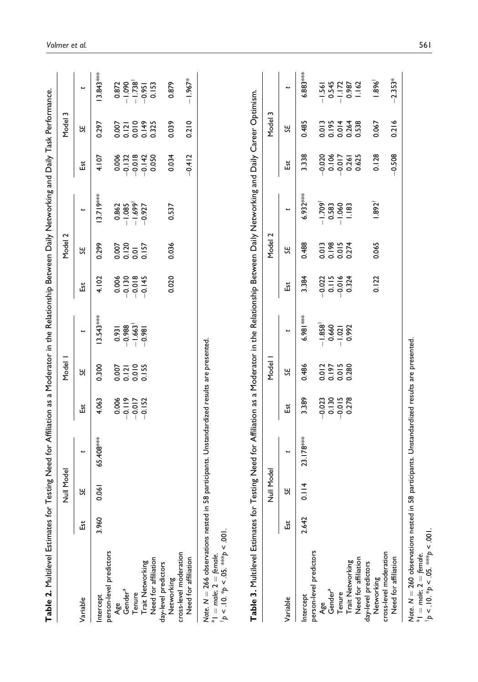| Table 2. Multilevel Estimates for Testing Need for Affiliation as a Moderator in the Relationship Between Daily Networking and Daily Task Performance          |       |                         |                          |                                           |                                  |                                                     |                                           |                                           |                                                            |                                                    |                                           |                                                    |
|----------------------------------------------------------------------------------------------------------------------------------------------------------------|-------|-------------------------|--------------------------|-------------------------------------------|----------------------------------|-----------------------------------------------------|-------------------------------------------|-------------------------------------------|------------------------------------------------------------|----------------------------------------------------|-------------------------------------------|----------------------------------------------------|
|                                                                                                                                                                |       | Model<br>$\overline{z}$ |                          |                                           | Model I                          |                                                     |                                           | Model 2                                   |                                                            |                                                    | Model 3                                   |                                                    |
| Variable                                                                                                                                                       | Est   | 55                      | $\overline{\phantom{0}}$ | Est                                       | 닍.                               | t                                                   | ដែ                                        | SE                                        | t                                                          | Et                                                 | ЯŠ                                        | t                                                  |
| Intercept                                                                                                                                                      | 3.960 | 8so                     | 65.408***                | 4.063                                     | 0.300                            | $13.543***$                                         | 4.102                                     | 0.299                                     | $13.719***$                                                | 4.107                                              | 0.297                                     | $13.843***$                                        |
| person-level predictors<br>Need for affiliation<br>Trait Networking<br>Gender <sup>a</sup><br>Tenure<br>Age                                                    |       |                         |                          | 0.006<br>$-0.119$<br>$-0.017$<br>$-0.152$ | 0.010<br>0.155<br>0.007<br>0.121 | $-1.663$ <sup>†</sup><br>0.931<br>$-0.981$          | $-0.130$<br>$-0.018$<br>0.006<br>$-0.145$ | 0.120<br>0.007<br>0.157<br>$\overline{0}$ | $-1.699^{\dagger}$<br>-0.927<br>$-1.085$                   | $-0.018$<br>0.006<br>0.050<br>$-0.132$<br>$-0.142$ | 0.010<br>0.149<br>0.325<br>0.007<br>0.121 | $-1.738$<br>$-1.090$<br>0.872<br>$-0.951$<br>0.153 |
| cross-level moderation<br>day-level predictors<br>Networking                                                                                                   |       |                         |                          |                                           |                                  |                                                     | 0.020                                     | 0.036                                     | 0.537                                                      | 0.034                                              | 0.039                                     | 0.879                                              |
| Need for affiliation                                                                                                                                           |       |                         |                          |                                           |                                  |                                                     |                                           |                                           |                                                            | $-0.412$                                           | 0.210                                     | $-1.967*$                                          |
| Table 3. Multilevel Estimates for Testing Need for Affiliation as a Moderator in the Relationship Between Daily Networking and Daily Career Optimism.          |       | Model<br>$\overline{z}$ |                          |                                           | Model                            |                                                     |                                           | Model 2                                   |                                                            |                                                    | Model 3                                   |                                                    |
| Variable                                                                                                                                                       | Εt    | 닍                       | t                        | Est                                       | 닍.                               | پ                                                   | Et                                        | 띥                                         | پ                                                          | Est                                                | Я                                         | t                                                  |
| Intercept                                                                                                                                                      | 2.642 | 4<br>$\bar{5}$          | 23.178***                | 3.389                                     | 0.486                            | $6.98$   $**$                                       | 3.384                                     | 0.488                                     | $6.932***$                                                 | 3.338                                              | 0.485                                     | $6.883***$                                         |
| person-level predictors<br>Need for affiliation<br>Trait Networking<br>Gender <sup>a</sup><br>Tenure<br>Age                                                    |       |                         |                          | 0.130<br>$-0.015$<br>$0.278$<br>0.023     | 0.012<br>0.197<br>0.015<br>0.280 | $-1.858$ <sup>†</sup><br>0.660<br>$-1.021$<br>0.992 | 0.115<br>$-0.016$<br>$-0.022$<br>0.324    | 0.013<br>0.198<br>0.015<br>0.274          | $-1.709$ <sup>†</sup><br>$-1.060$<br>0.583<br><b>1.183</b> | 0.020<br>0.106<br>$-0.017$<br>0.625<br>0.261       | 0.014<br>0.013<br>0.195<br>0.264<br>0.538 | 0.545<br>$-1.172$<br>1.162<br>0.987<br>$-1.561$    |
| cross-level moderation<br>day-level predictors<br>Networking                                                                                                   |       |                         |                          |                                           |                                  |                                                     | 0.122                                     | 0.065                                     | 1.892                                                      | 0.128                                              | 0.067                                     | 1.896                                              |
| Need for affiliation                                                                                                                                           |       |                         |                          |                                           |                                  |                                                     |                                           |                                           |                                                            | $-0.508$                                           | 0.216                                     | $-2.353*$                                          |
| Note. $N = 260$ observations nested in 58 participants. Unstandardized results are presented.<br>$p < 10. *p < 0.05$ . **** 201<br>$a_1$ = male; $2$ = female. |       |                         |                          |                                           |                                  |                                                     |                                           |                                           |                                                            |                                                    |                                           |                                                    |

*Volmer et al.* 561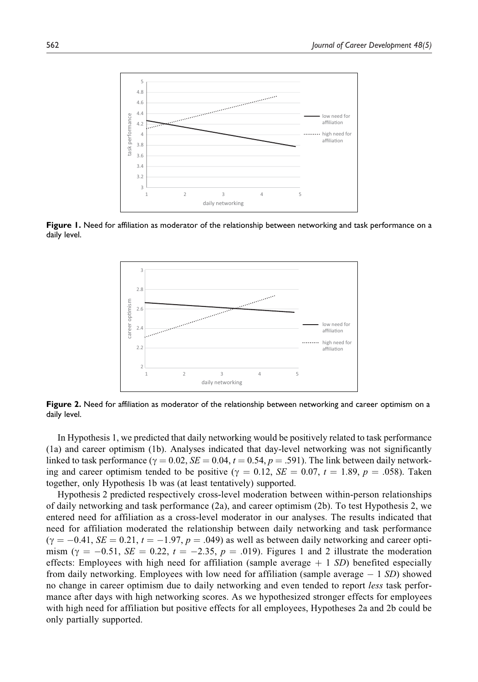

Figure 1. Need for affiliation as moderator of the relationship between networking and task performance on a daily level.



Figure 2. Need for affiliation as moderator of the relationship between networking and career optimism on a daily level.

In Hypothesis 1, we predicted that daily networking would be positively related to task performance (1a) and career optimism (1b). Analyses indicated that day-level networking was not significantly linked to task performance ( $\gamma = 0.02$ ,  $SE = 0.04$ ,  $t = 0.54$ ,  $p = .591$ ). The link between daily networking and career optimism tended to be positive ( $\gamma = 0.12$ ,  $SE = 0.07$ ,  $t = 1.89$ ,  $p = .058$ ). Taken together, only Hypothesis 1b was (at least tentatively) supported.

Hypothesis 2 predicted respectively cross-level moderation between within-person relationships of daily networking and task performance (2a), and career optimism (2b). To test Hypothesis 2, we entered need for affiliation as a cross-level moderator in our analyses. The results indicated that need for affiliation moderated the relationship between daily networking and task performance  $(\gamma = -0.41, \text{SE} = 0.21, t = -1.97, p = .049)$  as well as between daily networking and career optimism  $(\gamma = -0.51, \, SE = 0.22, t = -2.35, p = .019)$ . Figures 1 and 2 illustrate the moderation effects: Employees with high need for affiliation (sample average  $+ 1$  SD) benefited especially from daily networking. Employees with low need for affiliation (sample average  $-1$  SD) showed no change in career optimism due to daily networking and even tended to report *less* task performance after days with high networking scores. As we hypothesized stronger effects for employees with high need for affiliation but positive effects for all employees, Hypotheses 2a and 2b could be only partially supported.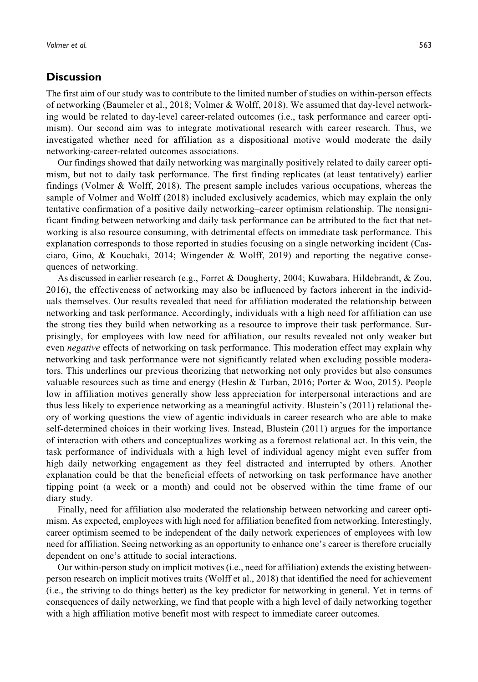# **Discussion**

The first aim of our study was to contribute to the limited number of studies on within-person effects of networking (Baumeler et al., 2018; Volmer & Wolff, 2018). We assumed that day-level networking would be related to day-level career-related outcomes (i.e., task performance and career optimism). Our second aim was to integrate motivational research with career research. Thus, we investigated whether need for affiliation as a dispositional motive would moderate the daily networking-career-related outcomes associations.

Our findings showed that daily networking was marginally positively related to daily career optimism, but not to daily task performance. The first finding replicates (at least tentatively) earlier findings (Volmer & Wolff, 2018). The present sample includes various occupations, whereas the sample of Volmer and Wolff (2018) included exclusively academics, which may explain the only tentative confirmation of a positive daily networking–career optimism relationship. The nonsignificant finding between networking and daily task performance can be attributed to the fact that networking is also resource consuming, with detrimental effects on immediate task performance. This explanation corresponds to those reported in studies focusing on a single networking incident (Casciaro, Gino, & Kouchaki, 2014; Wingender & Wolff, 2019) and reporting the negative consequences of networking.

As discussed in earlier research (e.g., Forret & Dougherty, 2004; Kuwabara, Hildebrandt, & Zou, 2016), the effectiveness of networking may also be influenced by factors inherent in the individuals themselves. Our results revealed that need for affiliation moderated the relationship between networking and task performance. Accordingly, individuals with a high need for affiliation can use the strong ties they build when networking as a resource to improve their task performance. Surprisingly, for employees with low need for affiliation, our results revealed not only weaker but even negative effects of networking on task performance. This moderation effect may explain why networking and task performance were not significantly related when excluding possible moderators. This underlines our previous theorizing that networking not only provides but also consumes valuable resources such as time and energy (Heslin & Turban, 2016; Porter & Woo, 2015). People low in affiliation motives generally show less appreciation for interpersonal interactions and are thus less likely to experience networking as a meaningful activity. Blustein's (2011) relational theory of working questions the view of agentic individuals in career research who are able to make self-determined choices in their working lives. Instead, Blustein (2011) argues for the importance of interaction with others and conceptualizes working as a foremost relational act. In this vein, the task performance of individuals with a high level of individual agency might even suffer from high daily networking engagement as they feel distracted and interrupted by others. Another explanation could be that the beneficial effects of networking on task performance have another tipping point (a week or a month) and could not be observed within the time frame of our diary study.

Finally, need for affiliation also moderated the relationship between networking and career optimism. As expected, employees with high need for affiliation benefited from networking. Interestingly, career optimism seemed to be independent of the daily network experiences of employees with low need for affiliation. Seeing networking as an opportunity to enhance one's career is therefore crucially dependent on one's attitude to social interactions.

Our within-person study on implicit motives (i.e., need for affiliation) extends the existing betweenperson research on implicit motives traits (Wolff et al., 2018) that identified the need for achievement (i.e., the striving to do things better) as the key predictor for networking in general. Yet in terms of consequences of daily networking, we find that people with a high level of daily networking together with a high affiliation motive benefit most with respect to immediate career outcomes.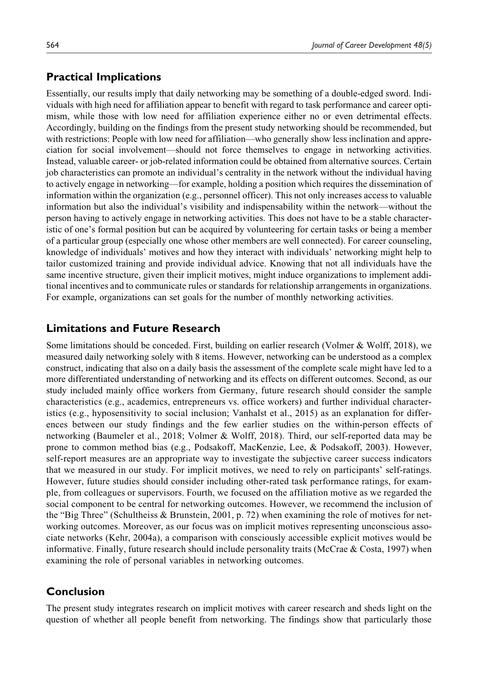# Practical Implications

Essentially, our results imply that daily networking may be something of a double-edged sword. Individuals with high need for affiliation appear to benefit with regard to task performance and career optimism, while those with low need for affiliation experience either no or even detrimental effects. Accordingly, building on the findings from the present study networking should be recommended, but with restrictions: People with low need for affiliation—who generally show less inclination and appreciation for social involvement—should not force themselves to engage in networking activities. Instead, valuable career- or job-related information could be obtained from alternative sources. Certain job characteristics can promote an individual's centrality in the network without the individual having to actively engage in networking—for example, holding a position which requires the dissemination of information within the organization (e.g., personnel officer). This not only increases access to valuable information but also the individual's visibility and indispensability within the network—without the person having to actively engage in networking activities. This does not have to be a stable characteristic of one's formal position but can be acquired by volunteering for certain tasks or being a member of a particular group (especially one whose other members are well connected). For career counseling, knowledge of individuals' motives and how they interact with individuals' networking might help to tailor customized training and provide individual advice. Knowing that not all individuals have the same incentive structure, given their implicit motives, might induce organizations to implement additional incentives and to communicate rules or standards for relationship arrangements in organizations. For example, organizations can set goals for the number of monthly networking activities.

# Limitations and Future Research

Some limitations should be conceded. First, building on earlier research (Volmer & Wolff, 2018), we measured daily networking solely with 8 items. However, networking can be understood as a complex construct, indicating that also on a daily basis the assessment of the complete scale might have led to a more differentiated understanding of networking and its effects on different outcomes. Second, as our study included mainly office workers from Germany, future research should consider the sample characteristics (e.g., academics, entrepreneurs vs. office workers) and further individual characteristics (e.g., hyposensitivity to social inclusion; Vanhalst et al., 2015) as an explanation for differences between our study findings and the few earlier studies on the within-person effects of networking (Baumeler et al., 2018; Volmer & Wolff, 2018). Third, our self-reported data may be prone to common method bias (e.g., Podsakoff, MacKenzie, Lee, & Podsakoff, 2003). However, self-report measures are an appropriate way to investigate the subjective career success indicators that we measured in our study. For implicit motives, we need to rely on participants' self-ratings. However, future studies should consider including other-rated task performance ratings, for example, from colleagues or supervisors. Fourth, we focused on the affiliation motive as we regarded the social component to be central for networking outcomes. However, we recommend the inclusion of the "Big Three" (Schultheiss & Brunstein, 2001, p. 72) when examining the role of motives for networking outcomes. Moreover, as our focus was on implicit motives representing unconscious associate networks (Kehr, 2004a), a comparison with consciously accessible explicit motives would be informative. Finally, future research should include personality traits (McCrae & Costa, 1997) when examining the role of personal variables in networking outcomes.

# Conclusion

The present study integrates research on implicit motives with career research and sheds light on the question of whether all people benefit from networking. The findings show that particularly those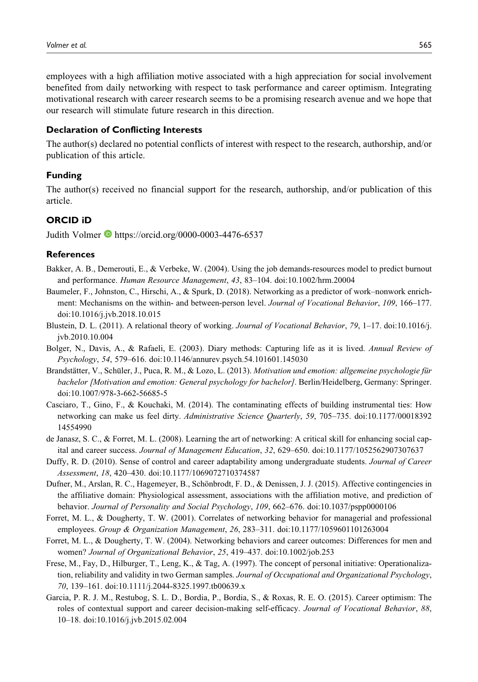employees with a high affiliation motive associated with a high appreciation for social involvement benefited from daily networking with respect to task performance and career optimism. Integrating motivational research with career research seems to be a promising research avenue and we hope that our research will stimulate future research in this direction.

### Declaration of Conflicting Interests

The author(s) declared no potential conflicts of interest with respect to the research, authorship, and/or publication of this article.

#### Funding

The author(s) received no financial support for the research, authorship, and/or publication of this article.

#### ORCID iD

Judith Volmer **b** https://orcid.org/0000-0003-4476-6537

#### **References**

- Bakker, A. B., Demerouti, E., & Verbeke, W. (2004). Using the job demands-resources model to predict burnout and performance. Human Resource Management, 43, 83–104. doi:10.1002/hrm.20004
- Baumeler, F., Johnston, C., Hirschi, A., & Spurk, D. (2018). Networking as a predictor of work–nonwork enrichment: Mechanisms on the within- and between-person level. Journal of Vocational Behavior, 109, 166–177. doi:10.1016/j.jvb.2018.10.015
- Blustein, D. L. (2011). A relational theory of working. Journal of Vocational Behavior, 79, 1–17. doi:10.1016/j. jvb.2010.10.004
- Bolger, N., Davis, A., & Rafaeli, E. (2003). Diary methods: Capturing life as it is lived. Annual Review of Psychology, 54, 579–616. doi:10.1146/annurev.psych.54.101601.145030
- Brandstätter, V., Schüler, J., Puca, R. M., & Lozo, L. (2013). Motivation und emotion: allgemeine psychologie für bachelor [Motivation and emotion: General psychology for bachelor]. Berlin/Heidelberg, Germany: Springer. doi:10.1007/978-3-662-56685-5
- Casciaro, T., Gino, F., & Kouchaki, M. (2014). The contaminating effects of building instrumental ties: How networking can make us feel dirty. Administrative Science Quarterly, 59, 705-735. doi:10.1177/00018392 14554990
- de Janasz, S. C., & Forret, M. L. (2008). Learning the art of networking: A critical skill for enhancing social capital and career success. Journal of Management Education, 32, 629–650. doi:10.1177/1052562907307637
- Duffy, R. D. (2010). Sense of control and career adaptability among undergraduate students. Journal of Career Assessment, 18, 420–430. doi:10.1177/1069072710374587
- Dufner, M., Arslan, R. C., Hagemeyer, B., Schönbrodt, F. D., & Denissen, J. J. (2015). Affective contingencies in the affiliative domain: Physiological assessment, associations with the affiliation motive, and prediction of behavior. Journal of Personality and Social Psychology, 109, 662–676. doi:10.1037/pspp0000106
- Forret, M. L., & Dougherty, T. W. (2001). Correlates of networking behavior for managerial and professional employees. Group & Organization Management, 26, 283-311. doi:10.1177/1059601101263004
- Forret, M. L., & Dougherty, T. W. (2004). Networking behaviors and career outcomes: Differences for men and women? Journal of Organizational Behavior, 25, 419–437. doi:10.1002/job.253
- Frese, M., Fay, D., Hilburger, T., Leng, K., & Tag, A. (1997). The concept of personal initiative: Operationalization, reliability and validity in two German samples. Journal of Occupational and Organizational Psychology, 70, 139–161. doi:10.1111/j.2044-8325.1997.tb00639.x
- Garcia, P. R. J. M., Restubog, S. L. D., Bordia, P., Bordia, S., & Roxas, R. E. O. (2015). Career optimism: The roles of contextual support and career decision-making self-efficacy. Journal of Vocational Behavior, 88, 10–18. doi:10.1016/j.jvb.2015.02.004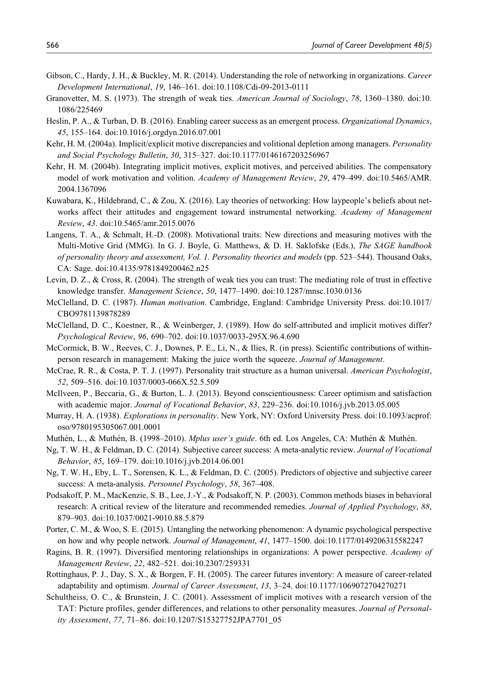- Gibson, C., Hardy, J. H., & Buckley, M. R. (2014). Understanding the role of networking in organizations. Career Development International, 19, 146–161. doi:10.1108/Cdi-09-2013-0111
- Granovetter, M. S. (1973). The strength of weak ties. American Journal of Sociology, 78, 1360–1380. doi:10. 1086/225469
- Heslin, P. A., & Turban, D. B. (2016). Enabling career success as an emergent process. Organizational Dynamics, 45, 155–164. doi:10.1016/j.orgdyn.2016.07.001
- Kehr, H. M. (2004a). Implicit/explicit motive discrepancies and volitional depletion among managers. Personality and Social Psychology Bulletin, 30, 315–327. doi:10.1177/0146167203256967
- Kehr, H. M. (2004b). Integrating implicit motives, explicit motives, and perceived abilities. The compensatory model of work motivation and volition. Academy of Management Review, 29, 479-499. doi:10.5465/AMR. 2004.1367096
- Kuwabara, K., Hildebrand, C., & Zou, X. (2016). Lay theories of networking: How laypeople's beliefs about networks affect their attitudes and engagement toward instrumental networking. Academy of Management Review, 43. doi:10.5465/amr.2015.0076
- Langens, T. A., & Schmalt, H.-D. (2008). Motivational traits: New directions and measuring motives with the Multi-Motive Grid (MMG). In G. J. Boyle, G. Matthews, & D. H. Saklofske (Eds.), The SAGE handbook of personality theory and assessment, Vol. 1. Personality theories and models (pp. 523–544). Thousand Oaks, CA: Sage. doi:10.4135/9781849200462.n25
- Levin, D. Z., & Cross, R. (2004). The strength of weak ties you can trust: The mediating role of trust in effective knowledge transfer. Management Science, 50, 1477–1490. doi:10.1287/mnsc.1030.0136
- McClelland, D. C. (1987). Human motivation. Cambridge, England: Cambridge University Press. doi:10.1017/ CBO9781139878289
- McClelland, D. C., Koestner, R., & Weinberger, J. (1989). How do self-attributed and implicit motives differ? Psychological Review, 96, 690–702. doi:10.1037/0033-295X.96.4.690
- McCormick, B. W., Reeves, C. J., Downes, P. E., Li, N., & Ilies, R. (in press). Scientific contributions of withinperson research in management: Making the juice worth the squeeze. Journal of Management.
- McCrae, R. R., & Costa, P. T. J. (1997). Personality trait structure as a human universal. American Psychologist, 52, 509–516. doi:10.1037/0003-066X.52.5.509
- McIlveen, P., Beccaria, G., & Burton, L. J. (2013). Beyond conscientiousness: Career optimism and satisfaction with academic major. Journal of Vocational Behavior, 83, 229–236. doi:10.1016/j.jvb.2013.05.005
- Murray, H. A. (1938). Explorations in personality. New York, NY: Oxford University Press. doi:10.1093/acprof: oso/9780195305067.001.0001
- Muthén, L., & Muthén, B. (1998–2010). Mplus user's guide. 6th ed. Los Angeles, CA: Muthén & Muthén.
- Ng, T. W. H., & Feldman, D. C. (2014). Subjective career success: A meta-analytic review. Journal of Vocational Behavior, 85, 169–179. doi:10.1016/j.jvb.2014.06.001
- Ng, T. W. H., Eby, L. T., Sorensen, K. L., & Feldman, D. C. (2005). Predictors of objective and subjective career success: A meta-analysis. Personnel Psychology, 58, 367–408.
- Podsakoff, P. M., MacKenzie, S. B., Lee, J.-Y., & Podsakoff, N. P. (2003). Common methods biases in behavioral research: A critical review of the literature and recommended remedies. Journal of Applied Psychology, 88, 879–903. doi:10.1037/0021-9010.88.5.879
- Porter, C. M., & Woo, S. E. (2015). Untangling the networking phenomenon: A dynamic psychological perspective on how and why people network. Journal of Management, 41, 1477–1500. doi:10.1177/0149206315582247
- Ragins, B. R. (1997). Diversified mentoring relationships in organizations: A power perspective. Academy of Management Review, 22, 482–521. doi:10.2307/259331
- Rottinghaus, P. J., Day, S. X., & Borgen, F. H. (2005). The career futures inventory: A measure of career-related adaptability and optimism. Journal of Career Assessment, 13, 3–24. doi:10.1177/1069072704270271
- Schultheiss, O. C., & Brunstein, J. C. (2001). Assessment of implicit motives with a research version of the TAT: Picture profiles, gender differences, and relations to other personality measures. Journal of Personality Assessment, 77, 71–86. doi:10.1207/S15327752JPA7701\_05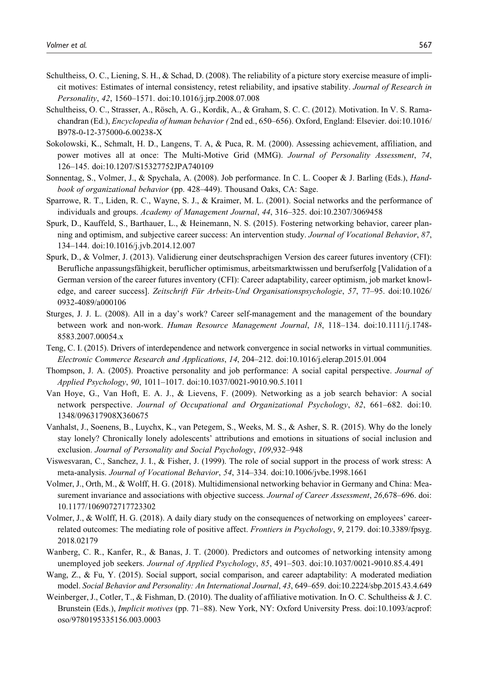- Schultheiss, O. C., Liening, S. H., & Schad, D. (2008). The reliability of a picture story exercise measure of implicit motives: Estimates of internal consistency, retest reliability, and ipsative stability. Journal of Research in Personality, 42, 1560–1571. doi:10.1016/j.jrp.2008.07.008
- Schultheiss, O. C., Strasser, A., Rösch, A. G., Kordik, A., & Graham, S. C. C. (2012). Motivation. In V. S. Ramachandran (Ed.), Encyclopedia of human behavior ( 2nd ed., 650–656). Oxford, England: Elsevier. doi:10.1016/ B978-0-12-375000-6.00238-X
- Sokolowski, K., Schmalt, H. D., Langens, T. A, & Puca, R. M. (2000). Assessing achievement, affiliation, and power motives all at once: The Multi-Motive Grid (MMG). Journal of Personality Assessment, 74, 126–145. doi:10.1207/S15327752JPA740109
- Sonnentag, S., Volmer, J., & Spychala, A. (2008). Job performance. In C. L. Cooper & J. Barling (Eds.), Handbook of organizational behavior (pp. 428–449). Thousand Oaks, CA: Sage.
- Sparrowe, R. T., Liden, R. C., Wayne, S. J., & Kraimer, M. L. (2001). Social networks and the performance of individuals and groups. Academy of Management Journal, 44, 316–325. doi:10.2307/3069458
- Spurk, D., Kauffeld, S., Barthauer, L., & Heinemann, N. S. (2015). Fostering networking behavior, career planning and optimism, and subjective career success: An intervention study. Journal of Vocational Behavior, 87, 134–144. doi:10.1016/j.jvb.2014.12.007
- Spurk, D., & Volmer, J. (2013). Validierung einer deutschsprachigen Version des career futures inventory (CFI): Berufliche anpassungsfähigkeit, beruflicher optimismus, arbeitsmarktwissen und berufserfolg [Validation of a German version of the career futures inventory (CFI): Career adaptability, career optimism, job market knowledge, and career success]. Zeitschrift Für Arbeits-Und Organisationspsychologie, 57, 77-95. doi:10.1026/ 0932-4089/a000106
- Sturges, J. J. L. (2008). All in a day's work? Career self-management and the management of the boundary between work and non-work. Human Resource Management Journal, 18, 118-134. doi:10.1111/j.1748-8583.2007.00054.x
- Teng, C. I. (2015). Drivers of interdependence and network convergence in social networks in virtual communities. Electronic Commerce Research and Applications, 14, 204–212. doi:10.1016/j.elerap.2015.01.004
- Thompson, J. A. (2005). Proactive personality and job performance: A social capital perspective. Journal of Applied Psychology, 90, 1011–1017. doi:10.1037/0021-9010.90.5.1011
- Van Hoye, G., Van Hoft, E. A. J., & Lievens, F. (2009). Networking as a job search behavior: A social network perspective. Journal of Occupational and Organizational Psychology, 82, 661-682. doi:10. 1348/096317908X360675
- Vanhalst, J., Soenens, B., Luychx, K., van Petegem, S., Weeks, M. S., & Asher, S. R. (2015). Why do the lonely stay lonely? Chronically lonely adolescents' attributions and emotions in situations of social inclusion and exclusion. Journal of Personality and Social Psychology, 109,932–948
- Viswesvaran, C., Sanchez, J. I., & Fisher, J. (1999). The role of social support in the process of work stress: A meta-analysis. Journal of Vocational Behavior, 54, 314–334. doi:10.1006/jvbe.1998.1661
- Volmer, J., Orth, M., & Wolff, H. G. (2018). Multidimensional networking behavior in Germany and China: Measurement invariance and associations with objective success. Journal of Career Assessment, 26,678–696. doi: 10.1177/1069072717723302
- Volmer, J., & Wolff, H. G. (2018). A daily diary study on the consequences of networking on employees' careerrelated outcomes: The mediating role of positive affect. Frontiers in Psychology, 9, 2179. doi:10.3389/fpsyg. 2018.02179
- Wanberg, C. R., Kanfer, R., & Banas, J. T. (2000). Predictors and outcomes of networking intensity among unemployed job seekers. Journal of Applied Psychology, 85, 491–503. doi:10.1037/0021-9010.85.4.491
- Wang, Z., & Fu, Y. (2015). Social support, social comparison, and career adaptability: A moderated mediation model. Social Behavior and Personality: An International Journal, 43, 649–659. doi:10.2224/sbp.2015.43.4.649
- Weinberger, J., Cotler, T., & Fishman, D. (2010). The duality of affiliative motivation. In O. C. Schultheiss & J. C. Brunstein (Eds.), Implicit motives (pp. 71–88). New York, NY: Oxford University Press. doi:10.1093/acprof: oso/9780195335156.003.0003